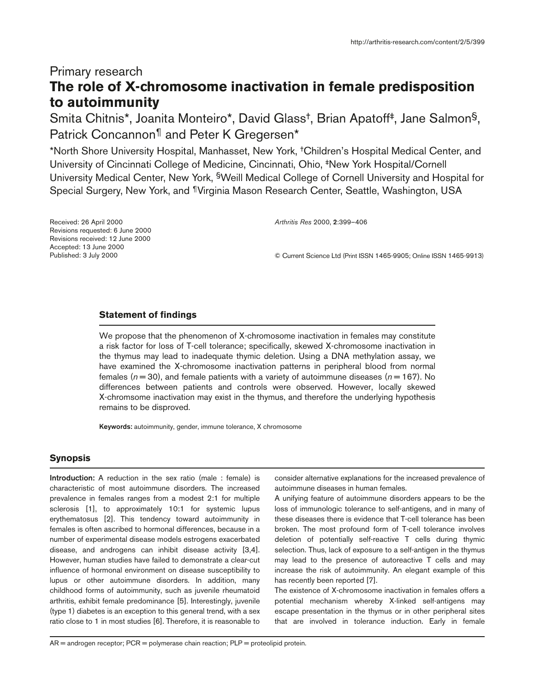# Primary research **The role of X-chromosome inactivation in female predisposition to autoimmunity**

Smita Chitnis\*, Joanita Monteiro\*, David Glass<sup>†</sup>, Brian Apatoff<sup>‡</sup>, Jane Salmon<sup>§</sup>, Patrick Concannon¶ and Peter K Gregersen\*

\*North Shore University Hospital, Manhasset, New York, †Children's Hospital Medical Center, and University of Cincinnati College of Medicine, Cincinnati, Ohio, ‡New York Hospital/Cornell University Medical Center, New York, §Weill Medical College of Cornell University and Hospital for Special Surgery, New York, and ¶Virginia Mason Research Center, Seattle, Washington, USA

Received: 26 April 2000 Revisions requested: 6 June 2000 Revisions received: 12 June 2000 Accepted: 13 June 2000 Published: 3 July 2000

*Arthritis Res* 2000, **2**:399–406

© Current Science Ltd (Print ISSN 1465-9905; Online ISSN 1465-9913)

# **Statement of findings**

We propose that the phenomenon of X-chromosome inactivation in females may constitute a risk factor for loss of T-cell tolerance; specifically, skewed X-chromosome inactivation in the thymus may lead to inadequate thymic deletion. Using a DNA methylation assay, we have examined the X-chromosome inactivation patterns in peripheral blood from normal females  $(n=30)$ , and female patients with a variety of autoimmune diseases  $(n=167)$ . No differences between patients and controls were observed. However, locally skewed X-chromsome inactivation may exist in the thymus, and therefore the underlying hypothesis remains to be disproved.

**Keywords:** autoimmunity, gender, immune tolerance, X chromosome

# **Synopsis**

**Introduction:** A reduction in the sex ratio (male : female) is characteristic of most autoimmune disorders. The increased prevalence in females ranges from a modest 2:1 for multiple sclerosis [1], to approximately 10:1 for systemic lupus erythematosus [2]. This tendency toward autoimmunity in females is often ascribed to hormonal differences, because in a number of experimental disease models estrogens exacerbated disease, and androgens can inhibit disease activity [3,4]. However, human studies have failed to demonstrate a clear-cut influence of hormonal environment on disease susceptibility to lupus or other autoimmune disorders. In addition, many childhood forms of autoimmunity, such as juvenile rheumatoid arthritis, exhibit female predominance [5]. Interestingly, juvenile (type 1) diabetes is an exception to this general trend, with a sex ratio close to 1 in most studies [6]. Therefore, it is reasonable to

consider alternative explanations for the increased prevalence of autoimmune diseases in human females.

A unifying feature of autoimmune disorders appears to be the loss of immunologic tolerance to self-antigens, and in many of these diseases there is evidence that T-cell tolerance has been broken. The most profound form of T-cell tolerance involves deletion of potentially self-reactive T cells during thymic selection. Thus, lack of exposure to a self-antigen in the thymus may lead to the presence of autoreactive T cells and may increase the risk of autoimmunity. An elegant example of this has recently been reported [7].

The existence of X-chromosome inactivation in females offers a potential mechanism whereby X-linked self-antigens may escape presentation in the thymus or in other peripheral sites that are involved in tolerance induction. Early in female

 $AR =$  androgen receptor;  $PCR =$  polymerase chain reaction;  $PLP =$  proteolipid protein.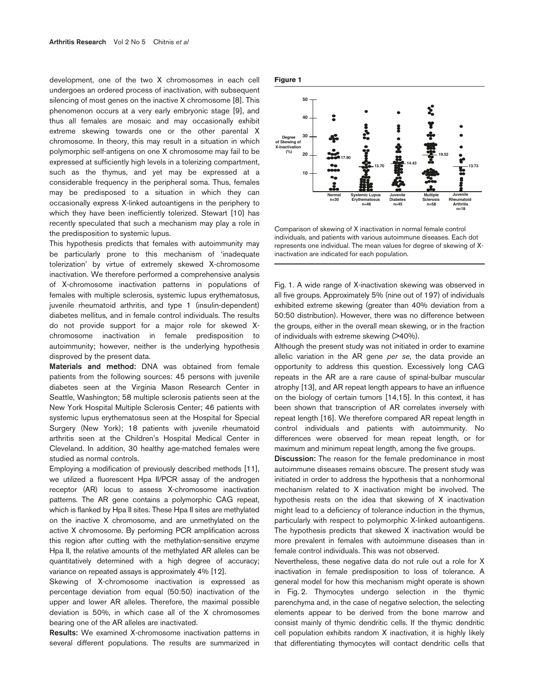development, one of the two X chromosomes in each cell undergoes an ordered process of inactivation, with subsequent silencing of most genes on the inactive X chromosome [8]. This phenomenon occurs at a very early embryonic stage [9], and thus all females are mosaic and may occasionally exhibit extreme skewing towards one or the other parental X chromosome. In theory, this may result in a situation in which polymorphic self-antigens on one X chromosome may fail to be expressed at sufficiently high levels in a tolerizing compartment, such as the thymus, and yet may be expressed at a considerable frequency in the peripheral soma. Thus, females may be predisposed to a situation in which they can occasionally express X-linked autoantigens in the periphery to which they have been inefficiently tolerized. Stewart [10] has recently speculated that such a mechanism may play a role in the predisposition to systemic lupus.

This hypothesis predicts that females with autoimmunity may be particularly prone to this mechanism of 'inadequate tolerization' by virtue of extremely skewed X-chromosome inactivation. We therefore performed a comprehensive analysis of X-chromosome inactivation patterns in populations of females with multiple sclerosis, systemic lupus erythematosus, juvenile rheumatoid arthritis, and type 1 (insulin-dependent) diabetes mellitus, and in female control individuals. The results do not provide support for a major role for skewed Xchromosome inactivation in female predisposition to autoimmunity; however, neither is the underlying hypothesis disproved by the present data.

**Materials and method:** DNA was obtained from female patients from the following sources: 45 persons with juvenile diabetes seen at the Virginia Mason Research Center in Seattle, Washington; 58 multiple sclerosis patients seen at the New York Hospital Multiple Sclerosis Center; 46 patients with systemic lupus erythematosus seen at the Hospital for Special Surgery (New York); 18 patients with juvenile rheumatoid arthritis seen at the Children's Hospital Medical Center in Cleveland. In addition, 30 healthy age-matched females were studied as normal controls.

Employing a modification of previously described methods [11], we utilized a fluorescent Hpa II/PCR assay of the androgen receptor (AR) locus to assess X-chromosome inactivation patterns. The AR gene contains a polymorphic CAG repeat, which is flanked by Hpa II sites. These Hpa II sites are methylated on the inactive X chromosome, and are unmethylated on the active X chromosome. By performing PCR amplification across this region after cutting with the methylation-sensitive enzyme Hpa II, the relative amounts of the methylated AR alleles can be quantitatively determined with a high degree of accuracy; variance on repeated assays is approximately 4% [12].

Skewing of X-chromosome inactivation is expressed as percentage deviation from equal (50:50) inactivation of the upper and lower AR alleles. Therefore, the maximal possible deviation is 50%, in which case all of the X chromosomes bearing one of the AR alleles are inactivated.

**Results:** We examined X-chromosome inactivation patterns in several different populations. The results are summarized in





Comparison of skewing of X inactivation in normal female control individuals, and patients with various autoimmune diseases. Each dot represents one individual. The mean values for degree of skewing of Xinactivation are indicated for each population.

Fig. 1. A wide range of X-inactivation skewing was observed in all five groups. Approximately 5% (nine out of 197) of individuals exhibited extreme skewing (greater than 40% deviation from a 50:50 distribution). However, there was no difference between the groups, either in the overall mean skewing, or in the fraction of individuals with extreme skewing (>40%).

Although the present study was not initiated in order to examine allelic variation in the AR gene *per se*, the data provide an opportunity to address this question. Excessively long CAG repeats in the AR are a rare cause of spinal-bulbar muscular atrophy [13], and AR repeat length appears to have an influence on the biology of certain tumors [14,15]. In this context, it has been shown that transcription of AR correlates inversely with repeat length [16]. We therefore compared AR repeat length in control individuals and patients with autoimmunity. No differences were observed for mean repeat length, or for maximum and minimum repeat length, among the five groups.

**Discussion:** The reason for the female predominance in most autoimmune diseases remains obscure. The present study was initiated in order to address the hypothesis that a nonhormonal mechanism related to X inactivation might be involved. The hypothesis rests on the idea that skewing of X inactivation might lead to a deficiency of tolerance induction in the thymus, particularly with respect to polymorphic X-linked autoantigens. The hypothesis predicts that skewed X inactivation would be more prevalent in females with autoimmune diseases than in female control individuals. This was not observed.

Nevertheless, these negative data do not rule out a role for X inactivation in female predisposition to loss of tolerance. A general model for how this mechanism might operate is shown in Fig. 2. Thymocytes undergo selection in the thymic parenchyma and, in the case of negative selection, the selecting elements appear to be derived from the bone marrow and consist mainly of thymic dendritic cells. If the thymic dendritic cell population exhibits random X inactivation, it is highly likely that differentiating thymocytes will contact dendritic cells that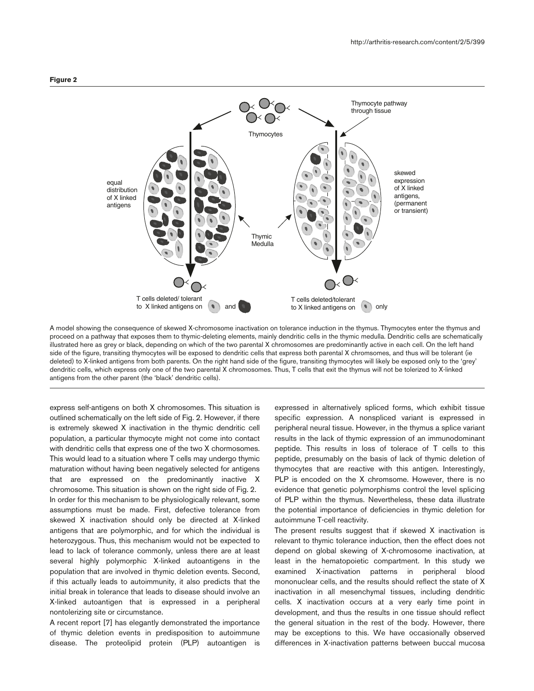

A model showing the consequence of skewed X-chromosome inactivation on tolerance induction in the thymus. Thymocytes enter the thymus and proceed on a pathway that exposes them to thymic-deleting elements, mainly dendritic cells in the thymic medulla. Dendritic cells are schematically illustrated here as grey or black, depending on which of the two parental X chromosomes are predominantly active in each cell. On the left hand side of the figure, transiting thymocytes will be exposed to dendritic cells that express both parental X chromsomes, and thus will be tolerant (ie deleted) to X-linked antigens from both parents. On the right hand side of the figure, transiting thymocytes will likely be exposed only to the 'grey' dendritic cells, which express only one of the two parental X chromosomes. Thus, T cells that exit the thymus will not be tolerized to X-linked antigens from the other parent (the 'black' dendritic cells).

express self-antigens on both X chromosomes. This situation is outlined schematically on the left side of Fig. 2. However, if there is extremely skewed X inactivation in the thymic dendritic cell population, a particular thymocyte might not come into contact with dendritic cells that express one of the two X chormosomes. This would lead to a situation where T cells may undergo thymic maturation without having been negatively selected for antigens that are expressed on the predominantly inactive X chromosome. This situation is shown on the right side of Fig. 2. In order for this mechanism to be physiologically relevant, some assumptions must be made. First, defective tolerance from skewed X inactivation should only be directed at X-linked antigens that are polymorphic, and for which the individual is heterozygous. Thus, this mechanism would not be expected to lead to lack of tolerance commonly, unless there are at least several highly polymorphic X-linked autoantigens in the population that are involved in thymic deletion events. Second, if this actually leads to autoimmunity, it also predicts that the initial break in tolerance that leads to disease should involve an X-linked autoantigen that is expressed in a peripheral nontolerizing site or circumstance.

A recent report [7] has elegantly demonstrated the importance of thymic deletion events in predisposition to autoimmune disease. The proteolipid protein (PLP) autoantigen is

expressed in alternatively spliced forms, which exhibit tissue specific expression. A nonspliced variant is expressed in peripheral neural tissue. However, in the thymus a splice variant results in the lack of thymic expression of an immunodominant peptide. This results in loss of tolerace of T cells to this peptide, presumably on the basis of lack of thymic deletion of thymocytes that are reactive with this antigen. Interestingly, PLP is encoded on the X chromsome. However, there is no evidence that genetic polymorphisms control the level splicing of PLP within the thymus. Nevertheless, these data illustrate the potential importance of deficiencies in thymic deletion for autoimmune T-cell reactivity.

The present results suggest that if skewed X inactivation is relevant to thymic tolerance induction, then the effect does not depend on global skewing of X-chromosome inactivation, at least in the hematopoietic compartment. In this study we examined X-inactivation patterns in peripheral blood mononuclear cells, and the results should reflect the state of X inactivation in all mesenchymal tissues, including dendritic cells. X inactivation occurs at a very early time point in development, and thus the results in one tissue should reflect the general situation in the rest of the body. However, there may be exceptions to this. We have occasionally observed differences in X-inactivation patterns between buccal mucosa

#### **Figure 2**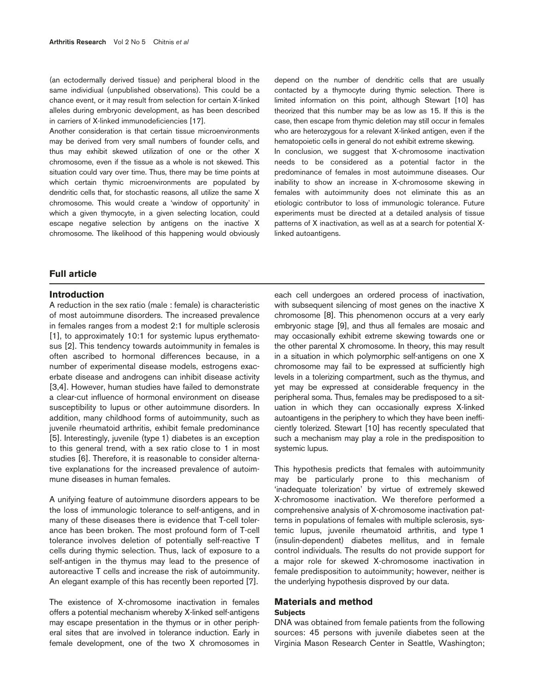(an ectodermally derived tissue) and peripheral blood in the same individiual (unpublished observations). This could be a chance event, or it may result from selection for certain X-linked alleles during embryonic development, as has been described in carriers of X-linked immunodeficiencies [17].

Another consideration is that certain tissue microenvironments may be derived from very small numbers of founder cells, and thus may exhibit skewed utilization of one or the other X chromosome, even if the tissue as a whole is not skewed. This situation could vary over time. Thus, there may be time points at which certain thymic microenvironments are populated by dendritic cells that, for stochastic reasons, all utilize the same X chromosome. This would create a 'window of opportunity' in which a given thymocyte, in a given selecting location, could escape negative selection by antigens on the inactive X chromosome. The likelihood of this happening would obviously depend on the number of dendritic cells that are usually contacted by a thymocyte during thymic selection. There is limited information on this point, although Stewart [10] has theorized that this number may be as low as 15. If this is the case, then escape from thymic deletion may still occur in females who are heterozygous for a relevant X-linked antigen, even if the hematopoietic cells in general do not exhibit extreme skewing.

In conclusion, we suggest that X-chromosome inactivation needs to be considered as a potential factor in the predominance of females in most autoimmune diseases. Our inability to show an increase in X-chromosome skewing in females with autoimmunity does not eliminate this as an etiologic contributor to loss of immunologic tolerance. Future experiments must be directed at a detailed analysis of tissue patterns of X inactivation, as well as at a search for potential Xlinked autoantigens.

### **Full article**

#### **Introduction**

A reduction in the sex ratio (male : female) is characteristic of most autoimmune disorders. The increased prevalence in females ranges from a modest 2:1 for multiple sclerosis [1], to approximately 10:1 for systemic lupus erythematosus [2]. This tendency towards autoimmunity in females is often ascribed to hormonal differences because, in a number of experimental disease models, estrogens exacerbate disease and androgens can inhibit disease activity [3,4]. However, human studies have failed to demonstrate a clear-cut influence of hormonal environment on disease susceptibility to lupus or other autoimmune disorders. In addition, many childhood forms of autoimmunity, such as juvenile rheumatoid arthritis, exhibit female predominance [5]. Interestingly, juvenile (type 1) diabetes is an exception to this general trend, with a sex ratio close to 1 in most studies [6]. Therefore, it is reasonable to consider alternative explanations for the increased prevalence of autoimmune diseases in human females.

A unifying feature of autoimmune disorders appears to be the loss of immunologic tolerance to self-antigens, and in many of these diseases there is evidence that T-cell tolerance has been broken. The most profound form of T-cell tolerance involves deletion of potentially self-reactive T cells during thymic selection. Thus, lack of exposure to a self-antigen in the thymus may lead to the presence of autoreactive T cells and increase the risk of autoimmunity. An elegant example of this has recently been reported [7].

The existence of X-chromosome inactivation in females offers a potential mechanism whereby X-linked self-antigens may escape presentation in the thymus or in other peripheral sites that are involved in tolerance induction. Early in female development, one of the two X chromosomes in each cell undergoes an ordered process of inactivation, with subsequent silencing of most genes on the inactive X chromosome [8]. This phenomenon occurs at a very early embryonic stage [9], and thus all females are mosaic and may occasionally exhibit extreme skewing towards one or the other parental X chromosome. In theory, this may result in a situation in which polymorphic self-antigens on one X chromosome may fail to be expressed at sufficiently high levels in a tolerizing compartment, such as the thymus, and yet may be expressed at considerable frequency in the peripheral soma. Thus, females may be predisposed to a situation in which they can occasionally express X-linked autoantigens in the periphery to which they have been inefficiently tolerized. Stewart [10] has recently speculated that such a mechanism may play a role in the predisposition to systemic lupus.

This hypothesis predicts that females with autoimmunity may be particularly prone to this mechanism of 'inadequate tolerization' by virtue of extremely skewed X-chromosome inactivation. We therefore performed a comprehensive analysis of X-chromosome inactivation patterns in populations of females with multiple sclerosis, systemic lupus, juvenile rheumatoid arthritis, and type 1 (insulin-dependent) diabetes mellitus, and in female control individuals. The results do not provide support for a major role for skewed X-chromosome inactivation in female predisposition to autoimmunity; however, neither is the underlying hypothesis disproved by our data.

#### **Materials and method Subjects**

DNA was obtained from female patients from the following sources: 45 persons with juvenile diabetes seen at the Virginia Mason Research Center in Seattle, Washington;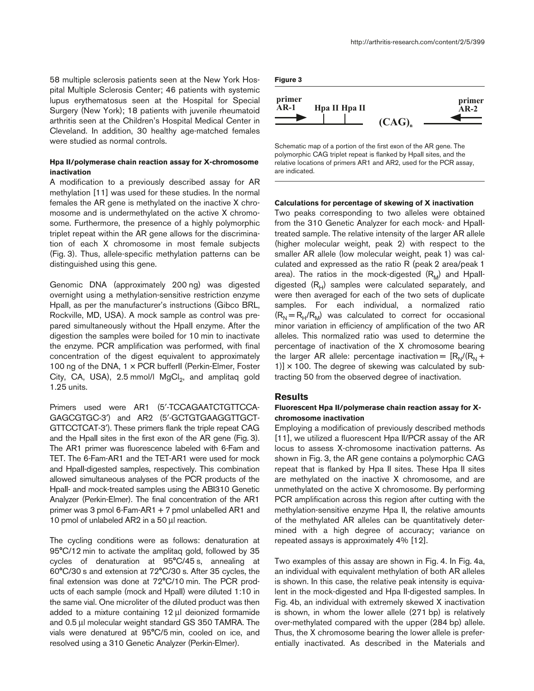58 multiple sclerosis patients seen at the New York Hospital Multiple Sclerosis Center; 46 patients with systemic lupus erythematosus seen at the Hospital for Special Surgery (New York); 18 patients with juvenile rheumatoid arthritis seen at the Children's Hospital Medical Center in Cleveland. In addition, 30 healthy age-matched females were studied as normal controls.

#### **Hpa II/polymerase chain reaction assay for X-chromosome inactivation**

A modification to a previously described assay for AR methylation [11] was used for these studies. In the normal females the AR gene is methylated on the inactive X chromosome and is undermethylated on the active X chromosome. Furthermore, the presence of a highly polymorphic triplet repeat within the AR gene allows for the discrimination of each X chromosome in most female subjects (Fig. 3). Thus, allele-specific methylation patterns can be distinguished using this gene.

Genomic DNA (approximately 200 ng) was digested overnight using a methylation-sensitive restriction enzyme HpaII, as per the manufacturer's instructions (Gibco BRL, Rockville, MD, USA). A mock sample as control was prepared simultaneously without the Hpall enzyme. After the digestion the samples were boiled for 10 min to inactivate the enzyme. PCR amplification was performed, with final concentration of the digest equivalent to approximately 100 ng of the DNA,  $1 \times PCR$  bufferll (Perkin-Elmer, Foster City, CA, USA),  $2.5 \text{ mmol/l}$  MgCl<sub>2</sub>, and amplitag gold 1.25 units.

Primers used were AR1 (5′-TCCAGAATCTGTTCCA-GAGCGTGC-3′) and AR2 (5′-GCTGTGAAGGTTGCT-GTTCCTCAT-3′). These primers flank the triple repeat CAG and the Hpall sites in the first exon of the AR gene (Fig. 3). The AR1 primer was fluorescence labeled with 6-Fam and TET. The 6-Fam-AR1 and the TET-AR1 were used for mock and HpaII-digested samples, respectively. This combination allowed simultaneous analyses of the PCR products of the HpaII- and mock-treated samples using the ABI310 Genetic Analyzer (Perkin-Elmer). The final concentration of the AR1 primer was 3 pmol 6-Fam-AR1 + 7 pmol unlabelled AR1 and 10 pmol of unlabeled AR2 in a 50 µl reaction.

The cycling conditions were as follows: denaturation at 95°C/12 min to activate the amplitaq gold, followed by 35 cycles of denaturation at 95°C/45 s, annealing at 60°C/30 s and extension at 72°C/30 s. After 35 cycles, the final extension was done at 72°C/10 min. The PCR products of each sample (mock and HpaII) were diluted 1:10 in the same vial. One microliter of the diluted product was then added to a mixture containing 12 µl deionized formamide and 0.5 µl molecular weight standard GS 350 TAMRA. The vials were denatured at 95°C/5 min, cooled on ice, and resolved using a 310 Genetic Analyzer (Perkin-Elmer).



Schematic map of a portion of the first exon of the AR gene. The polymorphic CAG triplet repeat is flanked by HpaII sites, and the relative locations of primers AR1 and AR2, used for the PCR assay, are indicated.

#### **Calculations for percentage of skewing of X inactivation**

Two peaks corresponding to two alleles were obtained from the 310 Genetic Analyzer for each mock- and Hpalltreated sample. The relative intensity of the larger AR allele (higher molecular weight, peak 2) with respect to the smaller AR allele (low molecular weight, peak 1) was calculated and expressed as the ratio R (peak 2 area/peak 1 area). The ratios in the mock-digested  $(R_M)$  and Hpalldigested  $(R<sub>H</sub>)$  samples were calculated separately, and were then averaged for each of the two sets of duplicate samples. For each individual, a normalized ratio  $(R_N = R_H/R_M)$  was calculated to correct for occasional minor variation in efficiency of amplification of the two AR alleles. This normalized ratio was used to determine the percentage of inactivation of the X chromosome bearing the larger AR allele: percentage inactivation =  $[R_{N}/(R_{N} +$ 1)]  $\times$  100. The degree of skewing was calculated by subtracting 50 from the observed degree of inactivation.

#### **Results**

#### **Fluorescent Hpa II/polymerase chain reaction assay for Xchromosome inactivation**

Employing a modification of previously described methods [11], we utilized a fluorescent Hpa II/PCR assay of the AR locus to assess X-chromosome inactivation patterns. As shown in Fig. 3, the AR gene contains a polymorphic CAG repeat that is flanked by Hpa II sites. These Hpa II sites are methylated on the inactive X chromosome, and are unmethylated on the active X chromosome. By performing PCR amplification across this region after cutting with the methylation-sensitive enzyme Hpa II, the relative amounts of the methylated AR alleles can be quantitatively determined with a high degree of accuracy; variance on repeated assays is approximately 4% [12].

Two examples of this assay are shown in Fig. 4. In Fig. 4a, an individual with equivalent methylation of both AR alleles is shown. In this case, the relative peak intensity is equivalent in the mock-digested and Hpa II-digested samples. In Fig. 4b, an individual with extremely skewed X inactivation is shown, in whom the lower allele (271 bp) is relatively over-methylated compared with the upper (284 bp) allele. Thus, the X chromosome bearing the lower allele is preferentially inactivated. As described in the Materials and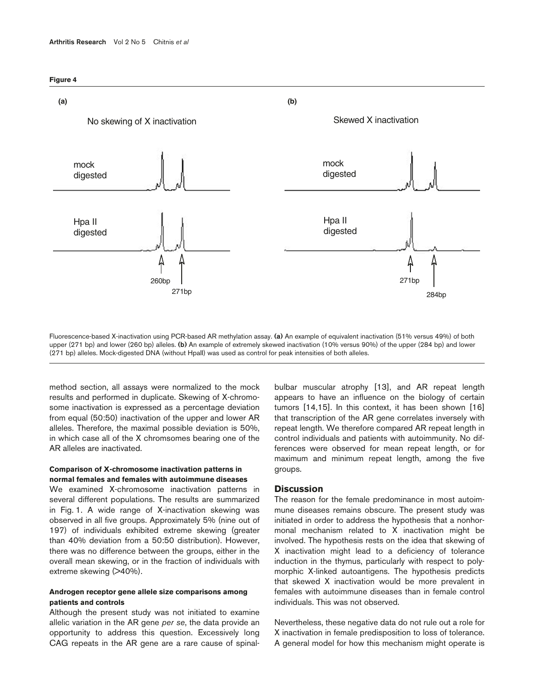

Fluorescence-based X-inactivation using PCR-based AR methylation assay. **(a)** An example of equivalent inactivation (51% versus 49%) of both upper (271 bp) and lower (260 bp) alleles. **(b)** An example of extremely skewed inactivation (10% versus 90%) of the upper (284 bp) and lower (271 bp) alleles. Mock-digested DNA (without HpaII) was used as control for peak intensities of both alleles.

method section, all assays were normalized to the mock results and performed in duplicate. Skewing of X-chromosome inactivation is expressed as a percentage deviation from equal (50:50) inactivation of the upper and lower AR alleles. Therefore, the maximal possible deviation is 50%, in which case all of the X chromsomes bearing one of the AR alleles are inactivated.

### **Comparison of X-chromosome inactivation patterns in normal females and females with autoimmune diseases**

We examined X-chromosome inactivation patterns in several different populations. The results are summarized in Fig. 1. A wide range of X-inactivation skewing was observed in all five groups. Approximately 5% (nine out of 197) of individuals exhibited extreme skewing (greater than 40% deviation from a 50:50 distribution). However, there was no difference between the groups, either in the overall mean skewing, or in the fraction of individuals with extreme skewing (>40%).

#### **Androgen receptor gene allele size comparisons among patients and controls**

Although the present study was not initiated to examine allelic variation in the AR gene *per se*, the data provide an opportunity to address this question. Excessively long CAG repeats in the AR gene are a rare cause of spinalbulbar muscular atrophy [13], and AR repeat length appears to have an influence on the biology of certain tumors [14,15]. In this context, it has been shown [16] that transcription of the AR gene correlates inversely with repeat length. We therefore compared AR repeat length in control individuals and patients with autoimmunity. No differences were observed for mean repeat length, or for maximum and minimum repeat length, among the five groups.

#### **Discussion**

The reason for the female predominance in most autoimmune diseases remains obscure. The present study was initiated in order to address the hypothesis that a nonhormonal mechanism related to X inactivation might be involved. The hypothesis rests on the idea that skewing of X inactivation might lead to a deficiency of tolerance induction in the thymus, particularly with respect to polymorphic X-linked autoantigens. The hypothesis predicts that skewed X inactivation would be more prevalent in females with autoimmune diseases than in female control individuals. This was not observed.

Nevertheless, these negative data do not rule out a role for X inactivation in female predisposition to loss of tolerance. A general model for how this mechanism might operate is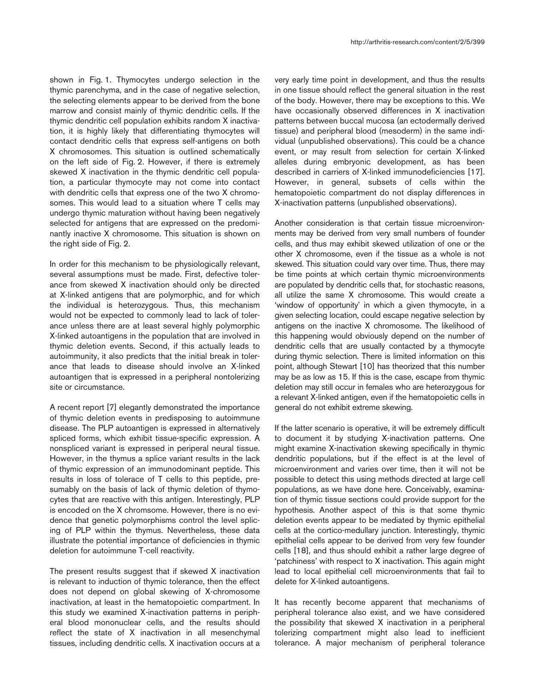shown in Fig. 1. Thymocytes undergo selection in the thymic parenchyma, and in the case of negative selection, the selecting elements appear to be derived from the bone marrow and consist mainly of thymic dendritic cells. If the thymic dendritic cell population exhibits random X inactivation, it is highly likely that differentiating thymocytes will contact dendritic cells that express self-antigens on both X chromosomes. This situation is outlined schematically on the left side of Fig. 2. However, if there is extremely skewed X inactivation in the thymic dendritic cell population, a particular thymocyte may not come into contact with dendritic cells that express one of the two X chromosomes. This would lead to a situation where T cells may undergo thymic maturation without having been negatively selected for antigens that are expressed on the predominantly inactive X chromosome. This situation is shown on the right side of Fig. 2.

In order for this mechanism to be physiologically relevant, several assumptions must be made. First, defective tolerance from skewed X inactivation should only be directed at X-linked antigens that are polymorphic, and for which the individual is heterozygous. Thus, this mechanism would not be expected to commonly lead to lack of tolerance unless there are at least several highly polymorphic X-linked autoantigens in the population that are involved in thymic deletion events. Second, if this actually leads to autoimmunity, it also predicts that the initial break in tolerance that leads to disease should involve an X-linked autoantigen that is expressed in a peripheral nontolerizing site or circumstance.

A recent report [7] elegantly demonstrated the importance of thymic deletion events in predisposing to autoimmune disease. The PLP autoantigen is expressed in alternatively spliced forms, which exhibit tissue-specific expression. A nonspliced variant is expressed in periperal neural tissue. However, in the thymus a splice variant results in the lack of thymic expression of an immunodominant peptide. This results in loss of tolerace of T cells to this peptide, presumably on the basis of lack of thymic deletion of thymocytes that are reactive with this antigen. Interestingly, PLP is encoded on the X chromsome. However, there is no evidence that genetic polymorphisms control the level splicing of PLP within the thymus. Nevertheless, these data illustrate the potential importance of deficiencies in thymic deletion for autoimmune T-cell reactivity.

The present results suggest that if skewed X inactivation is relevant to induction of thymic tolerance, then the effect does not depend on global skewing of X-chromosome inactivation, at least in the hematopoietic compartment. In this study we examined X-inactivation patterns in peripheral blood mononuclear cells, and the results should reflect the state of X inactivation in all mesenchymal tissues, including dendritic cells. X inactivation occurs at a

very early time point in development, and thus the results in one tissue should reflect the general situation in the rest of the body. However, there may be exceptions to this. We have occasionally observed differences in X inactivation patterns between buccal mucosa (an ectodermally derived tissue) and peripheral blood (mesoderm) in the same individual (unpublished observations). This could be a chance event, or may result from selection for certain X-linked alleles during embryonic development, as has been described in carriers of X-linked immunodeficiencies [17]. However, in general, subsets of cells within the hematopoietic compartment do not display differences in X-inactivation patterns (unpublished observations).

Another consideration is that certain tissue microenvironments may be derived from very small numbers of founder cells, and thus may exhibit skewed utilization of one or the other X chromosome, even if the tissue as a whole is not skewed. This situation could vary over time. Thus, there may be time points at which certain thymic microenvironments are populated by dendritic cells that, for stochastic reasons, all utilize the same X chromosome. This would create a 'window of opportunity' in which a given thymocyte, in a given selecting location, could escape negative selection by antigens on the inactive X chromosome. The likelihood of this happening would obviously depend on the number of dendritic cells that are usually contacted by a thymocyte during thymic selection. There is limited information on this point, although Stewart [10] has theorized that this number may be as low as 15. If this is the case, escape from thymic deletion may still occur in females who are heterozygous for a relevant X-linked antigen, even if the hematopoietic cells in general do not exhibit extreme skewing.

If the latter scenario is operative, it will be extremely difficult to document it by studying X-inactivation patterns. One might examine X-inactivation skewing specifically in thymic dendritic populations, but if the effect is at the level of microenvironment and varies over time, then it will not be possible to detect this using methods directed at large cell populations, as we have done here. Conceivably, examination of thymic tissue sections could provide support for the hypothesis. Another aspect of this is that some thymic deletion events appear to be mediated by thymic epithelial cells at the cortico-medullary junction. Interestingly, thymic epithelial cells appear to be derived from very few founder cells [18], and thus should exhibit a rather large degree of 'patchiness' with respect to X inactivation. This again might lead to local epithelial cell microenvironments that fail to delete for X-linked autoantigens.

It has recently become apparent that mechanisms of peripheral tolerance also exist, and we have considered the possibility that skewed X inactivation in a peripheral tolerizing compartment might also lead to inefficient tolerance. A major mechanism of peripheral tolerance